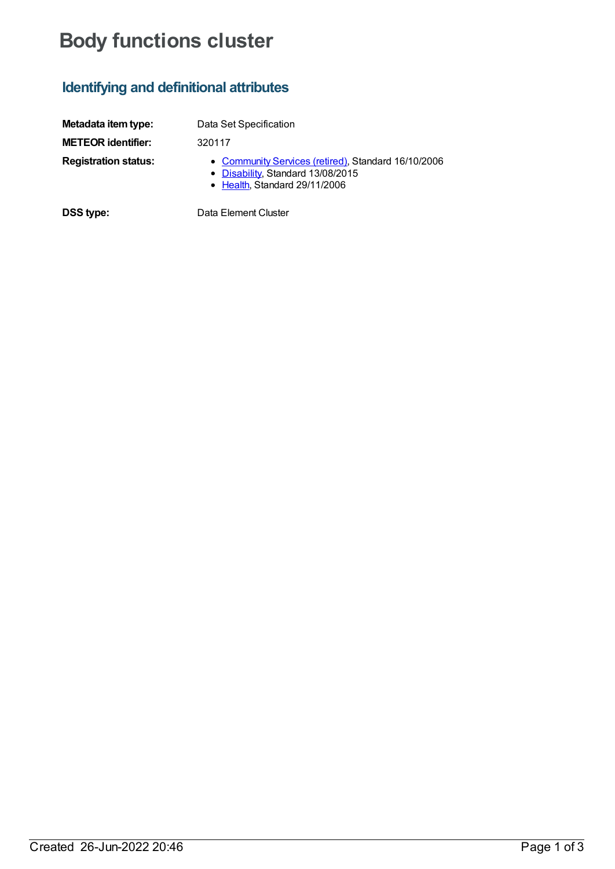# **Body functions cluster**

## **Identifying and definitional attributes**

| Metadata item type:         | Data Set Specification                                                                                                    |
|-----------------------------|---------------------------------------------------------------------------------------------------------------------------|
| <b>METEOR identifier:</b>   | 320117                                                                                                                    |
| <b>Registration status:</b> | • Community Services (retired), Standard 16/10/2006<br>• Disability, Standard 13/08/2015<br>• Health, Standard 29/11/2006 |
| <b>DSS type:</b>            | Data Element Cluster                                                                                                      |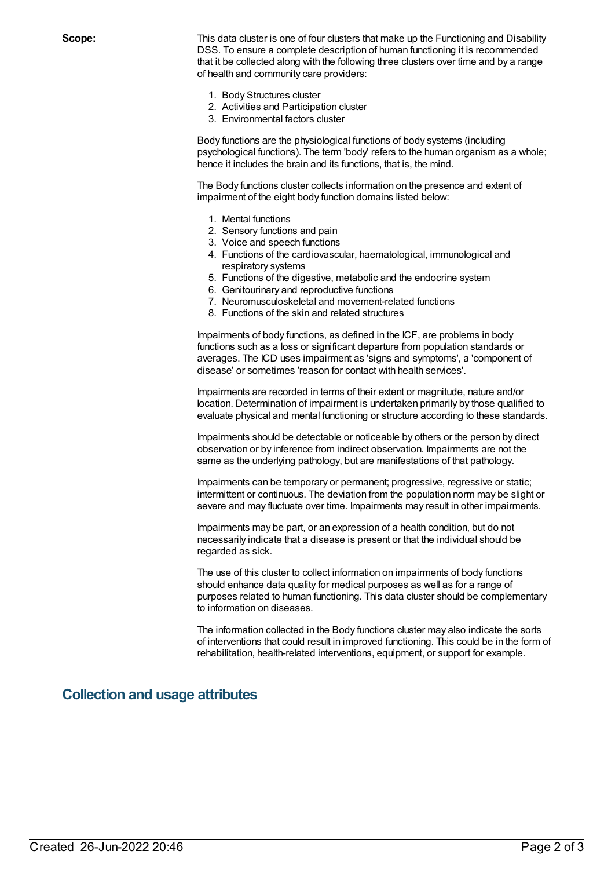**Scope:** This data cluster is one of four clusters that make up the Functioning and Disability DSS. To ensure a complete description of human functioning it is recommended that it be collected along with the following three clusters over time and by a range of health and community care providers:

- 1. Body Structures cluster
- 2. Activities and Participation cluster
- 3. Environmental factors cluster

Body functions are the physiological functions of body systems (including psychological functions). The term 'body' refers to the human organism as a whole; hence it includes the brain and its functions, that is, the mind.

The Body functions cluster collects information on the presence and extent of impairment of the eight body function domains listed below:

- 1. Mental functions
- 2. Sensory functions and pain
- 3. Voice and speech functions
- 4. Functions of the cardiovascular, haematological, immunological and respiratory systems
- 5. Functions of the digestive, metabolic and the endocrine system
- 6. Genitourinary and reproductive functions
- 7. Neuromusculoskeletal and movement-related functions
- 8. Functions of the skin and related structures

Impairments of body functions, as defined in the ICF, are problems in body functions such as a loss or significant departure from population standards or averages. The ICD uses impairment as 'signs and symptoms', a 'component of disease' or sometimes 'reason for contact with health services'.

Impairments are recorded in terms of their extent or magnitude, nature and/or location. Determination of impairment is undertaken primarily by those qualified to evaluate physical and mental functioning or structure according to these standards.

Impairments should be detectable or noticeable by others or the person by direct observation or by inference from indirect observation. Impairments are not the same as the underlying pathology, but are manifestations of that pathology.

Impairments can be temporary or permanent; progressive, regressive or static; intermittent or continuous. The deviation from the population norm may be slight or severe and may fluctuate over time. Impairments may result in other impairments.

Impairments may be part, or an expression of a health condition, but do not necessarily indicate that a disease is present or that the individual should be regarded as sick.

The use of this cluster to collect information on impairments of body functions should enhance data quality for medical purposes as well as for a range of purposes related to human functioning. This data cluster should be complementary to information on diseases.

The information collected in the Body functions cluster may also indicate the sorts of interventions that could result in improved functioning. This could be in the form of rehabilitation, health-related interventions, equipment, or support for example.

#### **Collection and usage attributes**